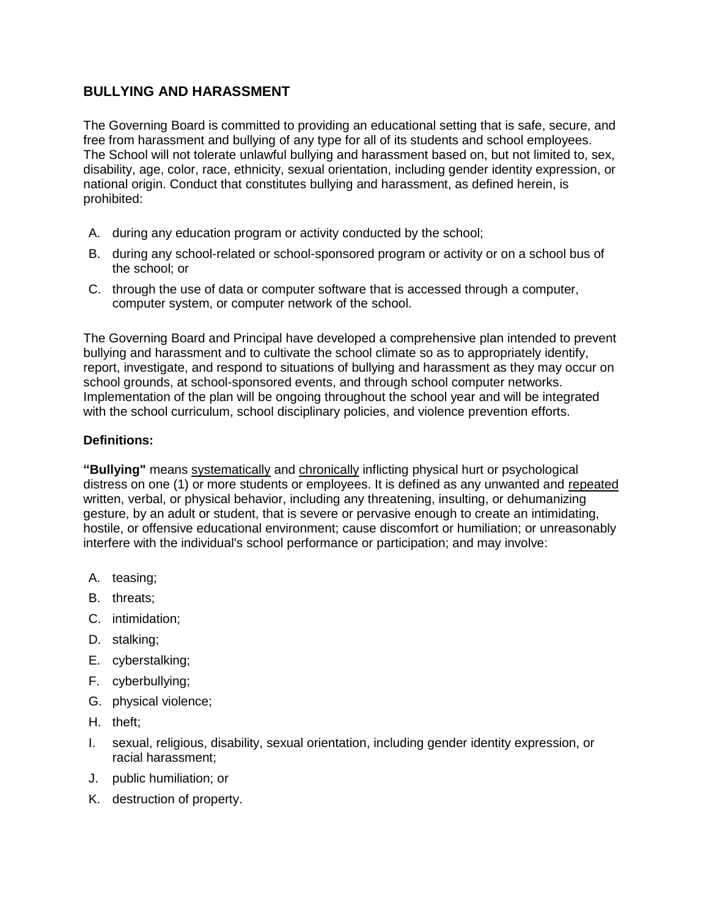# **BULLYING AND HARASSMENT**

The Governing Board is committed to providing an educational setting that is safe, secure, and free from harassment and bullying of any type for all of its students and school employees. The School will not tolerate unlawful bullying and harassment based on, but not limited to, sex, disability, age, color, race, ethnicity, sexual orientation, including gender identity expression, or national origin. Conduct that constitutes bullying and harassment, as defined herein, is prohibited:

- A. during any education program or activity conducted by the school;
- B. during any school-related or school-sponsored program or activity or on a school bus of the school; or
- C. through the use of data or computer software that is accessed through a computer, computer system, or computer network of the school.

The Governing Board and Principal have developed a comprehensive plan intended to prevent bullying and harassment and to cultivate the school climate so as to appropriately identify, report, investigate, and respond to situations of bullying and harassment as they may occur on school grounds, at school-sponsored events, and through school computer networks. Implementation of the plan will be ongoing throughout the school year and will be integrated with the school curriculum, school disciplinary policies, and violence prevention efforts.

## **Definitions:**

**"Bullying"** means systematically and chronically inflicting physical hurt or psychological distress on one (1) or more students or employees. It is defined as any unwanted and repeated written, verbal, or physical behavior, including any threatening, insulting, or dehumanizing gesture, by an adult or student, that is severe or pervasive enough to create an intimidating, hostile, or offensive educational environment; cause discomfort or humiliation; or unreasonably interfere with the individual's school performance or participation; and may involve:

- A. teasing;
- B. threats;
- C. intimidation;
- D. stalking;
- E. cyberstalking;
- F. cyberbullying;
- G. physical violence;
- H. theft;
- I. sexual, religious, disability, sexual orientation, including gender identity expression, or racial harassment;
- J. public humiliation; or
- K. destruction of property.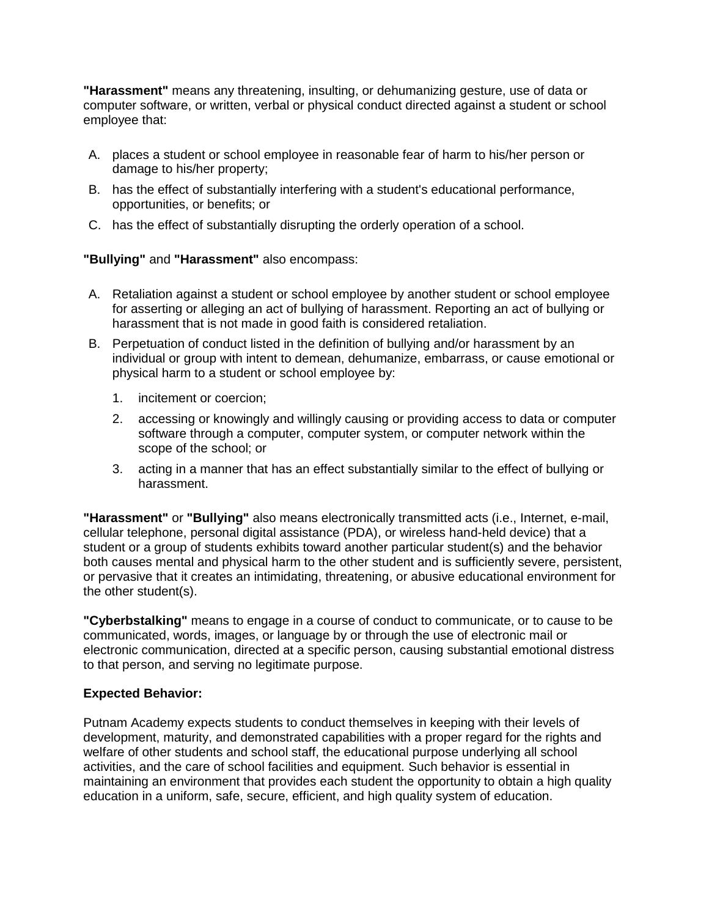**"Harassment"** means any threatening, insulting, or dehumanizing gesture, use of data or computer software, or written, verbal or physical conduct directed against a student or school employee that:

- A. places a student or school employee in reasonable fear of harm to his/her person or damage to his/her property;
- B. has the effect of substantially interfering with a student's educational performance, opportunities, or benefits; or
- C. has the effect of substantially disrupting the orderly operation of a school.

## **"Bullying"** and **"Harassment"** also encompass:

- A. Retaliation against a student or school employee by another student or school employee for asserting or alleging an act of bullying of harassment. Reporting an act of bullying or harassment that is not made in good faith is considered retaliation.
- B. Perpetuation of conduct listed in the definition of bullying and/or harassment by an individual or group with intent to demean, dehumanize, embarrass, or cause emotional or physical harm to a student or school employee by:
	- 1. incitement or coercion;
	- 2. accessing or knowingly and willingly causing or providing access to data or computer software through a computer, computer system, or computer network within the scope of the school; or
	- 3. acting in a manner that has an effect substantially similar to the effect of bullying or harassment.

**"Harassment"** or **"Bullying"** also means electronically transmitted acts (i.e., Internet, e-mail, cellular telephone, personal digital assistance (PDA), or wireless hand-held device) that a student or a group of students exhibits toward another particular student(s) and the behavior both causes mental and physical harm to the other student and is sufficiently severe, persistent, or pervasive that it creates an intimidating, threatening, or abusive educational environment for the other student(s).

**"Cyberbstalking"** means to engage in a course of conduct to communicate, or to cause to be communicated, words, images, or language by or through the use of electronic mail or electronic communication, directed at a specific person, causing substantial emotional distress to that person, and serving no legitimate purpose.

### **Expected Behavior:**

Putnam Academy expects students to conduct themselves in keeping with their levels of development, maturity, and demonstrated capabilities with a proper regard for the rights and welfare of other students and school staff, the educational purpose underlying all school activities, and the care of school facilities and equipment. Such behavior is essential in maintaining an environment that provides each student the opportunity to obtain a high quality education in a uniform, safe, secure, efficient, and high quality system of education.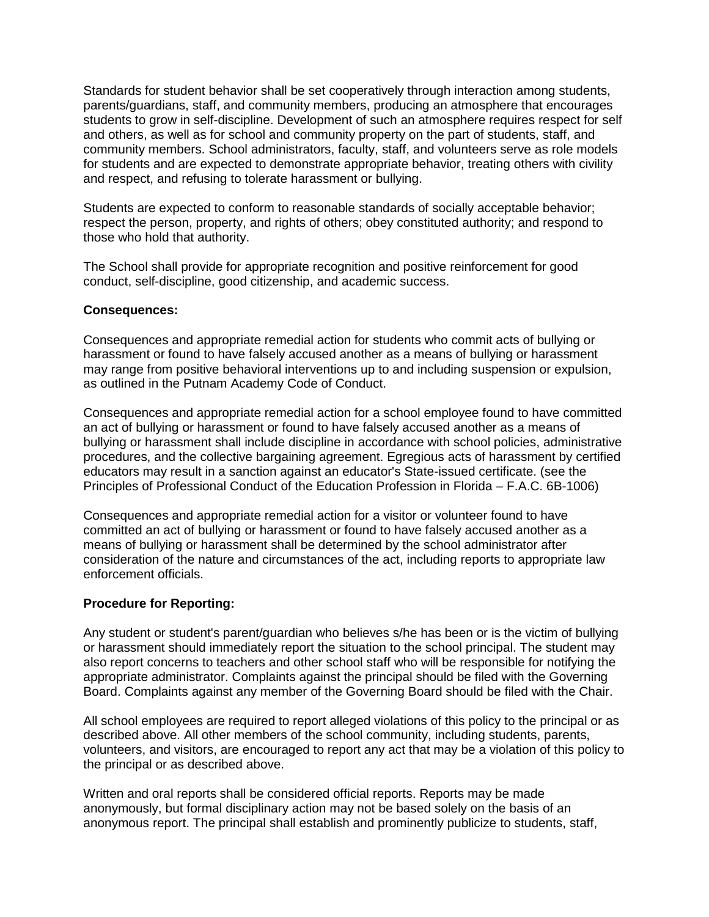Standards for student behavior shall be set cooperatively through interaction among students, parents/guardians, staff, and community members, producing an atmosphere that encourages students to grow in self-discipline. Development of such an atmosphere requires respect for self and others, as well as for school and community property on the part of students, staff, and community members. School administrators, faculty, staff, and volunteers serve as role models for students and are expected to demonstrate appropriate behavior, treating others with civility and respect, and refusing to tolerate harassment or bullying.

Students are expected to conform to reasonable standards of socially acceptable behavior; respect the person, property, and rights of others; obey constituted authority; and respond to those who hold that authority.

The School shall provide for appropriate recognition and positive reinforcement for good conduct, self-discipline, good citizenship, and academic success.

#### **Consequences:**

Consequences and appropriate remedial action for students who commit acts of bullying or harassment or found to have falsely accused another as a means of bullying or harassment may range from positive behavioral interventions up to and including suspension or expulsion, as outlined in the Putnam Academy Code of Conduct.

Consequences and appropriate remedial action for a school employee found to have committed an act of bullying or harassment or found to have falsely accused another as a means of bullying or harassment shall include discipline in accordance with school policies, administrative procedures, and the collective bargaining agreement. Egregious acts of harassment by certified educators may result in a sanction against an educator's State-issued certificate. (see the Principles of Professional Conduct of the Education Profession in Florida – F.A.C. 6B-1006)

Consequences and appropriate remedial action for a visitor or volunteer found to have committed an act of bullying or harassment or found to have falsely accused another as a means of bullying or harassment shall be determined by the school administrator after consideration of the nature and circumstances of the act, including reports to appropriate law enforcement officials.

#### **Procedure for Reporting:**

Any student or student's parent/guardian who believes s/he has been or is the victim of bullying or harassment should immediately report the situation to the school principal. The student may also report concerns to teachers and other school staff who will be responsible for notifying the appropriate administrator. Complaints against the principal should be filed with the Governing Board. Complaints against any member of the Governing Board should be filed with the Chair.

All school employees are required to report alleged violations of this policy to the principal or as described above. All other members of the school community, including students, parents, volunteers, and visitors, are encouraged to report any act that may be a violation of this policy to the principal or as described above.

Written and oral reports shall be considered official reports. Reports may be made anonymously, but formal disciplinary action may not be based solely on the basis of an anonymous report. The principal shall establish and prominently publicize to students, staff,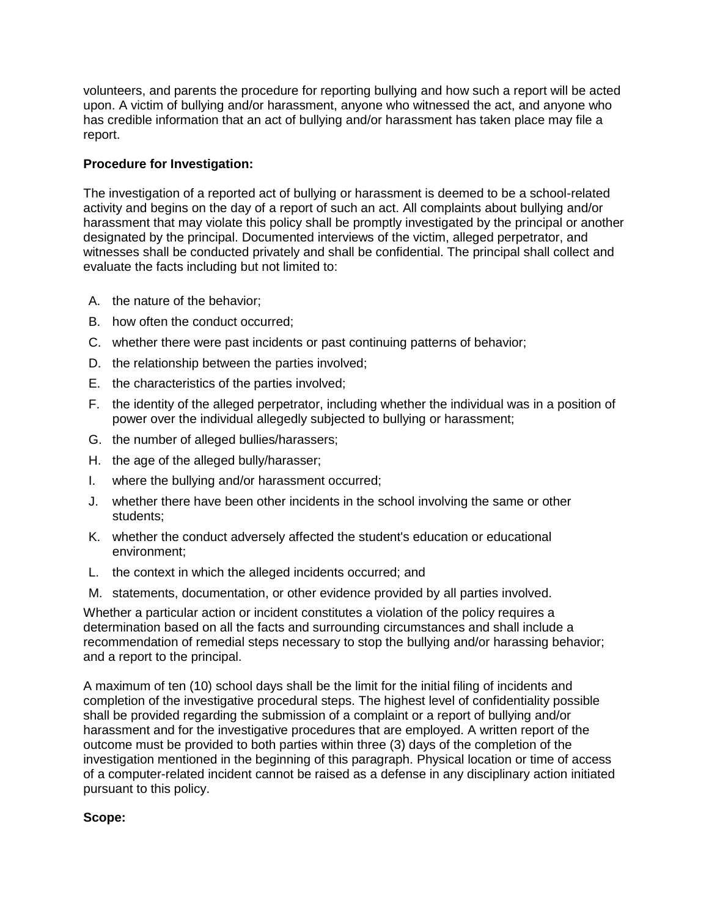volunteers, and parents the procedure for reporting bullying and how such a report will be acted upon. A victim of bullying and/or harassment, anyone who witnessed the act, and anyone who has credible information that an act of bullying and/or harassment has taken place may file a report.

## **Procedure for Investigation:**

The investigation of a reported act of bullying or harassment is deemed to be a school-related activity and begins on the day of a report of such an act. All complaints about bullying and/or harassment that may violate this policy shall be promptly investigated by the principal or another designated by the principal. Documented interviews of the victim, alleged perpetrator, and witnesses shall be conducted privately and shall be confidential. The principal shall collect and evaluate the facts including but not limited to:

- A. the nature of the behavior;
- B. how often the conduct occurred;
- C. whether there were past incidents or past continuing patterns of behavior;
- D. the relationship between the parties involved;
- E. the characteristics of the parties involved;
- F. the identity of the alleged perpetrator, including whether the individual was in a position of power over the individual allegedly subjected to bullying or harassment;
- G. the number of alleged bullies/harassers;
- H. the age of the alleged bully/harasser;
- I. where the bullying and/or harassment occurred;
- J. whether there have been other incidents in the school involving the same or other students;
- K. whether the conduct adversely affected the student's education or educational environment;
- L. the context in which the alleged incidents occurred; and
- M. statements, documentation, or other evidence provided by all parties involved.

Whether a particular action or incident constitutes a violation of the policy requires a determination based on all the facts and surrounding circumstances and shall include a recommendation of remedial steps necessary to stop the bullying and/or harassing behavior; and a report to the principal.

A maximum of ten (10) school days shall be the limit for the initial filing of incidents and completion of the investigative procedural steps. The highest level of confidentiality possible shall be provided regarding the submission of a complaint or a report of bullying and/or harassment and for the investigative procedures that are employed. A written report of the outcome must be provided to both parties within three (3) days of the completion of the investigation mentioned in the beginning of this paragraph. Physical location or time of access of a computer-related incident cannot be raised as a defense in any disciplinary action initiated pursuant to this policy.

### **Scope:**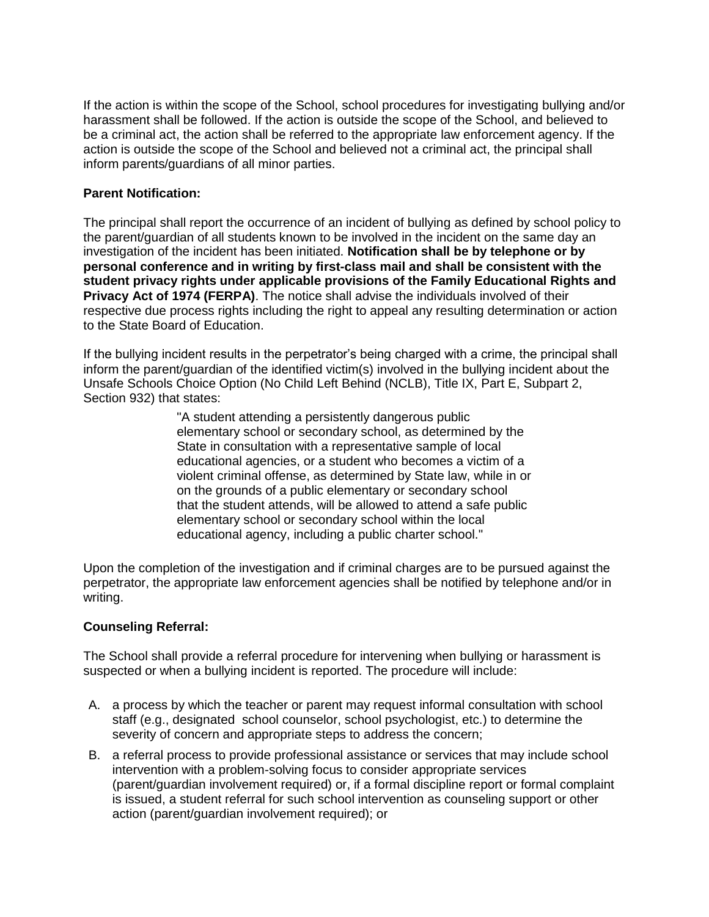If the action is within the scope of the School, school procedures for investigating bullying and/or harassment shall be followed. If the action is outside the scope of the School, and believed to be a criminal act, the action shall be referred to the appropriate law enforcement agency. If the action is outside the scope of the School and believed not a criminal act, the principal shall inform parents/guardians of all minor parties.

## **Parent Notification:**

The principal shall report the occurrence of an incident of bullying as defined by school policy to the parent/guardian of all students known to be involved in the incident on the same day an investigation of the incident has been initiated. **Notification shall be by telephone or by personal conference and in writing by first-class mail and shall be consistent with the student privacy rights under applicable provisions of the Family Educational Rights and Privacy Act of 1974 (FERPA)**. The notice shall advise the individuals involved of their respective due process rights including the right to appeal any resulting determination or action to the State Board of Education.

If the bullying incident results in the perpetrator's being charged with a crime, the principal shall inform the parent/guardian of the identified victim(s) involved in the bullying incident about the Unsafe Schools Choice Option (No Child Left Behind (NCLB), Title IX, Part E, Subpart 2, Section 932) that states:

> "A student attending a persistently dangerous public elementary school or secondary school, as determined by the State in consultation with a representative sample of local educational agencies, or a student who becomes a victim of a violent criminal offense, as determined by State law, while in or on the grounds of a public elementary or secondary school that the student attends, will be allowed to attend a safe public elementary school or secondary school within the local educational agency, including a public charter school."

Upon the completion of the investigation and if criminal charges are to be pursued against the perpetrator, the appropriate law enforcement agencies shall be notified by telephone and/or in writing.

# **Counseling Referral:**

The School shall provide a referral procedure for intervening when bullying or harassment is suspected or when a bullying incident is reported. The procedure will include:

- A. a process by which the teacher or parent may request informal consultation with school staff (e.g., designated school counselor, school psychologist, etc.) to determine the severity of concern and appropriate steps to address the concern;
- B. a referral process to provide professional assistance or services that may include school intervention with a problem-solving focus to consider appropriate services (parent/guardian involvement required) or, if a formal discipline report or formal complaint is issued, a student referral for such school intervention as counseling support or other action (parent/guardian involvement required); or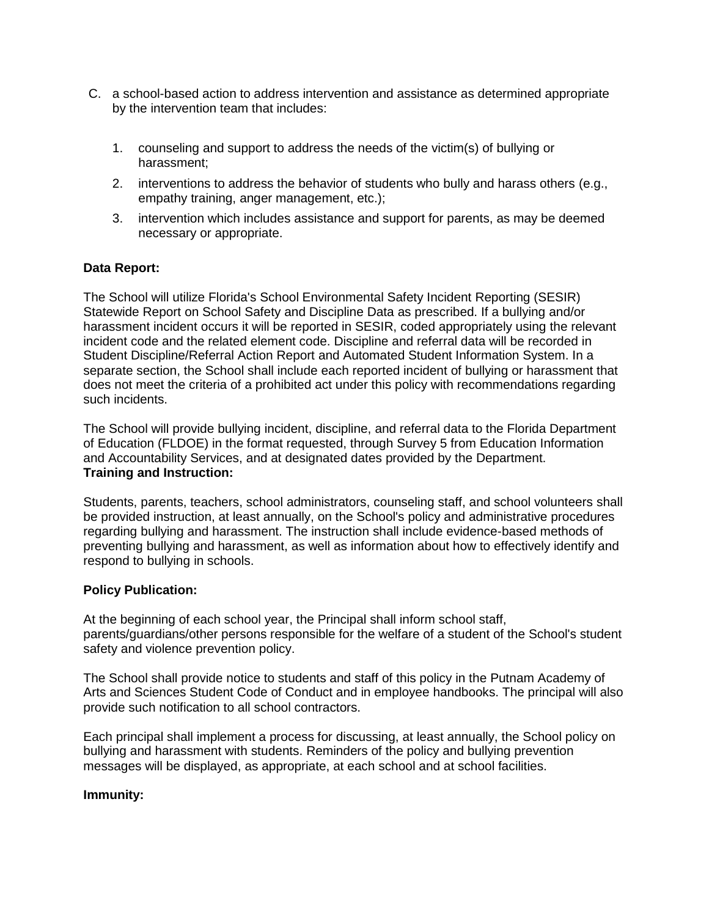- C. a school-based action to address intervention and assistance as determined appropriate by the intervention team that includes:
	- 1. counseling and support to address the needs of the victim(s) of bullying or harassment;
	- 2. interventions to address the behavior of students who bully and harass others (e.g., empathy training, anger management, etc.);
	- 3. intervention which includes assistance and support for parents, as may be deemed necessary or appropriate.

### **Data Report:**

The School will utilize Florida's School Environmental Safety Incident Reporting (SESIR) Statewide Report on School Safety and Discipline Data as prescribed. If a bullying and/or harassment incident occurs it will be reported in SESIR, coded appropriately using the relevant incident code and the related element code. Discipline and referral data will be recorded in Student Discipline/Referral Action Report and Automated Student Information System. In a separate section, the School shall include each reported incident of bullying or harassment that does not meet the criteria of a prohibited act under this policy with recommendations regarding such incidents.

The School will provide bullying incident, discipline, and referral data to the Florida Department of Education (FLDOE) in the format requested, through Survey 5 from Education Information and Accountability Services, and at designated dates provided by the Department. **Training and Instruction:**

Students, parents, teachers, school administrators, counseling staff, and school volunteers shall be provided instruction, at least annually, on the School's policy and administrative procedures regarding bullying and harassment. The instruction shall include evidence-based methods of preventing bullying and harassment, as well as information about how to effectively identify and respond to bullying in schools.

### **Policy Publication:**

At the beginning of each school year, the Principal shall inform school staff, parents/guardians/other persons responsible for the welfare of a student of the School's student safety and violence prevention policy.

The School shall provide notice to students and staff of this policy in the Putnam Academy of Arts and Sciences Student Code of Conduct and in employee handbooks. The principal will also provide such notification to all school contractors.

Each principal shall implement a process for discussing, at least annually, the School policy on bullying and harassment with students. Reminders of the policy and bullying prevention messages will be displayed, as appropriate, at each school and at school facilities.

### **Immunity:**